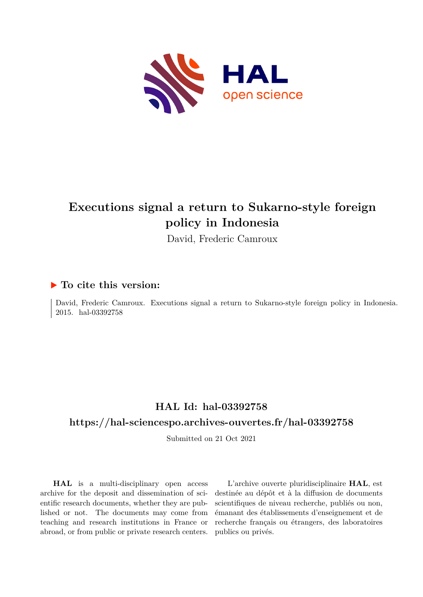

## **Executions signal a return to Sukarno-style foreign policy in Indonesia**

David, Frederic Camroux

#### **To cite this version:**

David, Frederic Camroux. Executions signal a return to Sukarno-style foreign policy in Indonesia. 2015. hal-03392758

### **HAL Id: hal-03392758**

#### **<https://hal-sciencespo.archives-ouvertes.fr/hal-03392758>**

Submitted on 21 Oct 2021

**HAL** is a multi-disciplinary open access archive for the deposit and dissemination of scientific research documents, whether they are published or not. The documents may come from teaching and research institutions in France or abroad, or from public or private research centers.

L'archive ouverte pluridisciplinaire **HAL**, est destinée au dépôt et à la diffusion de documents scientifiques de niveau recherche, publiés ou non, émanant des établissements d'enseignement et de recherche français ou étrangers, des laboratoires publics ou privés.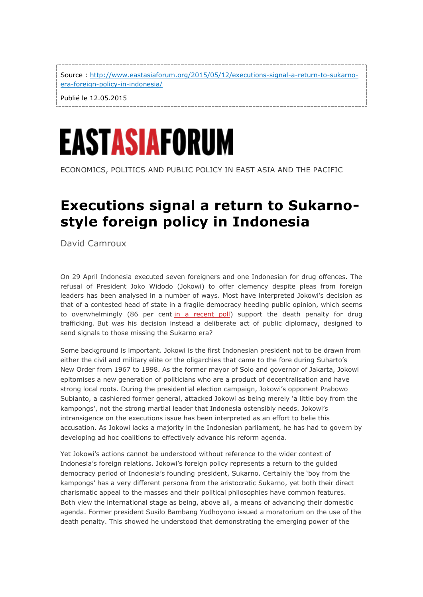Source : [http://www.eastasiaforum.org/2015/05/12/executions-signal-a-return-to-sukarno](http://www.eastasiaforum.org/2015/05/12/executions-signal-a-return-to-sukarno-era-foreign-policy-in-indonesia/)[era-foreign-policy-in-indonesia/](http://www.eastasiaforum.org/2015/05/12/executions-signal-a-return-to-sukarno-era-foreign-policy-in-indonesia/)

-------------------

Publié le 12.05.2015

# EASTASIAFORUM

ECONOMICS, POLITICS AND PUBLIC POLICY IN EAST ASIA AND THE PACIFIC

## **Executions signal a return to Sukarnostyle foreign policy in Indonesia**

David Camroux

On 29 April Indonesia executed seven foreigners and one Indonesian for drug offences. The refusal of President Joko Widodo (Jokowi) to offer clemency despite pleas from foreign leaders has been analysed in a number of ways. Most have interpreted Jokowi's decision as that of a contested head of state in a fragile democracy heeding public opinion, which seems to overwhelmingly (86 per cent [in a recent poll\)](http://www.newrepublic.com/article/121692/indonesia-executes-bali-nine-duo-despite-australian-outcry) support the death penalty for drug trafficking. But was his decision instead a deliberate act of public diplomacy, designed to send signals to those missing the Sukarno era?

Some background is important. Jokowi is the first Indonesian president not to be drawn from either the civil and military elite or the oligarchies that came to the fore during Suharto's New Order from 1967 to 1998. As the former mayor of Solo and governor of Jakarta, Jokowi epitomises a new generation of politicians who are a product of decentralisation and have strong local roots. During the presidential election campaign, Jokowi's opponent Prabowo Subianto, a cashiered former general, attacked Jokowi as being merely 'a little boy from the kampongs', not the strong martial leader that Indonesia ostensibly needs. Jokowi's intransigence on the executions issue has been interpreted as an effort to belie this accusation. As Jokowi lacks a majority in the Indonesian parliament, he has had to govern by developing ad hoc coalitions to effectively advance his reform agenda.

Yet Jokowi's actions cannot be understood without reference to the wider context of Indonesia's foreign relations. Jokowi's foreign policy represents a return to the guided democracy period of Indonesia's founding president, Sukarno. Certainly the 'boy from the kampongs' has a very different persona from the aristocratic Sukarno, yet both their direct charismatic appeal to the masses and their political philosophies have common features. Both view the international stage as being, above all, a means of advancing their domestic agenda. Former president Susilo Bambang Yudhoyono issued a moratorium on the use of the death penalty. This showed he understood that demonstrating the emerging power of the